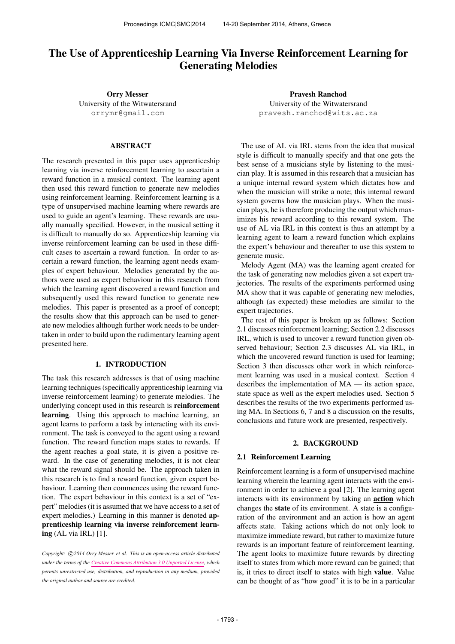# The Use of Apprenticeship Learning Via Inverse Reinforcement Learning for Generating Melodies

Orry Messer University of the Witwatersrand [orrymr@gmail.com](mailto:orrymr@gmail.com)

# ABSTRACT

The research presented in this paper uses apprenticeship learning via inverse reinforcement learning to ascertain a reward function in a musical context. The learning agent then used this reward function to generate new melodies using reinforcement learning. Reinforcement learning is a type of unsupervised machine learning where rewards are used to guide an agent's learning. These rewards are usually manually specified. However, in the musical setting it is difficult to manually do so. Apprenticeship learning via inverse reinforcement learning can be used in these difficult cases to ascertain a reward function. In order to ascertain a reward function, the learning agent needs examples of expert behaviour. Melodies generated by the authors were used as expert behaviour in this research from which the learning agent discovered a reward function and subsequently used this reward function to generate new melodies. This paper is presented as a proof of concept; the results show that this approach can be used to generate new melodies although further work needs to be undertaken in order to build upon the rudimentary learning agent presented here.

# 1. INTRODUCTION

The task this research addresses is that of using machine learning techniques (specifically apprenticeship learning via inverse reinforcement learning) to generate melodies. The underlying concept used in this research is reinforcement learning. Using this approach to machine learning, an agent learns to perform a task by interacting with its environment. The task is conveyed to the agent using a reward function. The reward function maps states to rewards. If the agent reaches a goal state, it is given a positive reward. In the case of generating melodies, it is not clear what the reward signal should be. The approach taken in this research is to find a reward function, given expert behaviour. Learning then commences using the reward function. The expert behaviour in this context is a set of "expert" melodies (it is assumed that we have access to a set of expert melodies.) Learning in this manner is denoted apprenticeship learning via inverse reinforcement learning (AL via IRL) [1].

Copyright:  $\bigcirc$ 2014 Orry Messer et al. This is an open-access article distributed *under the terms of the [Creative Commons Attribution 3.0 Unported License,](http://creativecommons.org/licenses/by/3.0/) which permits unrestricted use, distribution, and reproduction in any medium, provided the original author and source are credited.*

Pravesh Ranchod University of the Witwatersrand [pravesh.ranchod@wits.ac.za](mailto:pranchod@cs.wits.ac.za)

The use of AL via IRL stems from the idea that musical style is difficult to manually specify and that one gets the best sense of a musicians style by listening to the musician play. It is assumed in this research that a musician has a unique internal reward system which dictates how and when the musician will strike a note; this internal reward system governs how the musician plays. When the musician plays, he is therefore producing the output which maximizes his reward according to this reward system. The use of AL via IRL in this context is thus an attempt by a learning agent to learn a reward function which explains the expert's behaviour and thereafter to use this system to generate music.

Melody Agent (MA) was the learning agent created for the task of generating new melodies given a set expert trajectories. The results of the experiments performed using MA show that it was capable of generating new melodies, although (as expected) these melodies are similar to the expert trajectories.

The rest of this paper is broken up as follows: Section 2.1 discusses reinforcement learning; Section 2.2 discusses IRL, which is used to uncover a reward function given observed behaviour; Section 2.3 discusses AL via IRL, in which the uncovered reward function is used for learning: Section 3 then discusses other work in which reinforcement learning was used in a musical context. Section 4 describes the implementation of MA — its action space, state space as well as the expert melodies used. Section 5 describes the results of the two experiments performed using MA. In Sections 6, 7 and 8 a discussion on the results, conclusions and future work are presented, respectively.

# 2. BACKGROUND

### 2.1 Reinforcement Learning

Reinforcement learning is a form of unsupervised machine learning wherein the learning agent interacts with the environment in order to achieve a goal [2]. The learning agent interacts with its environment by taking an action which changes the state of its environment. A state is a configuration of the environment and an action is how an agent affects state. Taking actions which do not only look to maximize immediate reward, but rather to maximize future rewards is an important feature of reinforcement learning. The agent looks to maximize future rewards by directing itself to states from which more reward can be gained; that is, it tries to direct itself to states with high value. Value can be thought of as "how good" it is to be in a particular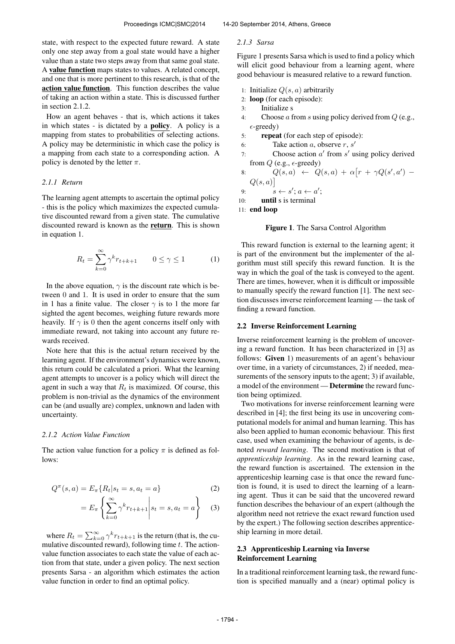state, with respect to the expected future reward. A state only one step away from a goal state would have a higher value than a state two steps away from that same goal state. A value function maps states to values. A related concept, and one that is more pertinent to this research, is that of the action value function. This function describes the value of taking an action within a state. This is discussed further in section 2.1.2.

How an agent behaves - that is, which actions it takes in which states - is dictated by a policy. A policy is a mapping from states to probabilities of selecting actions. A policy may be deterministic in which case the policy is a mapping from each state to a corresponding action. A policy is denoted by the letter  $\pi$ .

#### *2.1.1 Return*

The learning agent attempts to ascertain the optimal policy - this is the policy which maximizes the expected cumulative discounted reward from a given state. The cumulative discounted reward is known as the return. This is shown in equation 1.

$$
R_t = \sum_{k=0}^{\infty} \gamma^k r_{t+k+1} \qquad 0 \le \gamma \le 1 \tag{1}
$$

In the above equation,  $\gamma$  is the discount rate which is between 0 and 1. It is used in order to ensure that the sum in 1 has a finite value. The closer  $\gamma$  is to 1 the more far sighted the agent becomes, weighing future rewards more heavily. If  $\gamma$  is 0 then the agent concerns itself only with immediate reward, not taking into account any future rewards received.

Note here that this is the actual return received by the learning agent. If the environment's dynamics were known, this return could be calculated a priori. What the learning agent attempts to uncover is a policy which will direct the agent in such a way that  $R_t$  is maximized. Of course, this problem is non-trivial as the dynamics of the environment can be (and usually are) complex, unknown and laden with uncertainty.

#### *2.1.2 Action Value Function*

The action value function for a policy  $\pi$  is defined as follows:

$$
Q^{\pi}(s, a) = E_{\pi}\{R_t|s_t = s, a_t = a\}
$$
 (2)

$$
=E_{\pi}\left\{\sum_{k=0}^{\infty}\gamma^{k}r_{t+k+1}\middle|s_{t}=s,a_{t}=a\right\}\quad(3)
$$

where  $R_t = \sum_{k=0}^{\infty} \gamma^k r_{t+k+1}$  is the return (that is, the cumulative discounted reward), following time  $t$ . The actionvalue function associates to each state the value of each action from that state, under a given policy. The next section presents Sarsa - an algorithm which estimates the action value function in order to find an optimal policy.

#### *2.1.3 Sarsa*

Figure 1 presents Sarsa which is used to find a policy which will elicit good behaviour from a learning agent, where good behaviour is measured relative to a reward function.

- 1: Initialize  $Q(s, a)$  arbitrarily
- 2: loop (for each episode):
- 3: Initialize s
- 4: Choose a from s using policy derived from  $Q$  (e.g.,  $\epsilon$ -greedy)
- 5: repeat (for each step of episode):
- 6: Take action  $a$ , observe  $r$ ,  $s'$
- 7: Choose action  $a'$  from  $s'$  using policy derived from  $Q$  (e.g.,  $\epsilon$ -greedy)
- 8:  $Q(s, a) \leftarrow Q(s, a) + \alpha [r + \gamma Q(s', a') Q(s,a)$

9: 
$$
s \leftarrow s'; a \leftarrow a';
$$

$$
10: \qquad \textbf{until } s \text{ is terminal}
$$

11: end loop

### Figure 1. The Sarsa Control Algorithm

This reward function is external to the learning agent; it is part of the environment but the implementer of the algorithm must still specify this reward function. It is the way in which the goal of the task is conveyed to the agent. There are times, however, when it is difficult or impossible to manually specify the reward function [1]. The next section discusses inverse reinforcement learning — the task of finding a reward function.

### 2.2 Inverse Reinforcement Learning

Inverse reinforcement learning is the problem of uncovering a reward function. It has been characterized in [3] as follows: Given 1) measurements of an agent's behaviour over time, in a variety of circumstances, 2) if needed, measurements of the sensory inputs to the agent; 3) if available, a model of the environment — Determine the reward function being optimized.

Two motivations for inverse reinforcement learning were described in [4]; the first being its use in uncovering computational models for animal and human learning. This has also been applied to human economic behaviour. This first case, used when examining the behaviour of agents, is denoted *reward learning*. The second motivation is that of *apprenticeship learning*. As in the reward learning case, the reward function is ascertained. The extension in the apprenticeship learning case is that once the reward function is found, it is used to direct the learning of a learning agent. Thus it can be said that the uncovered reward function describes the behaviour of an expert (although the algorithm need not retrieve the exact reward function used by the expert.) The following section describes apprenticeship learning in more detail.

### 2.3 Apprenticeship Learning via Inverse Reinforcement Learning

In a traditional reinforcement learning task, the reward function is specified manually and a (near) optimal policy is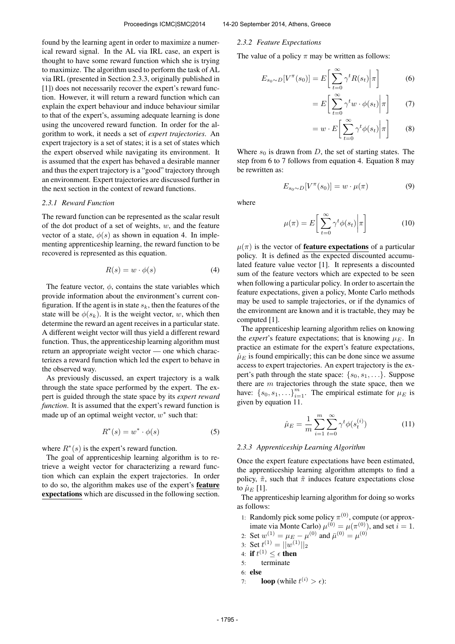found by the learning agent in order to maximize a numerical reward signal. In the AL via IRL case, an expert is thought to have some reward function which she is trying to maximize. The algorithm used to perform the task of AL via IRL (presented in Section 2.3.3, originally published in [1]) does not necessarily recover the expert's reward function. However, it will return a reward function which can explain the expert behaviour and induce behaviour similar to that of the expert's, assuming adequate learning is done using the uncovered reward function. In order for the algorithm to work, it needs a set of *expert trajectories*. An expert trajectory is a set of states; it is a set of states which the expert observed while navigating its environment. It is assumed that the expert has behaved a desirable manner and thus the expert trajectory is a "good" trajectory through an environment. Expert trajectories are discussed further in the next section in the context of reward functions.

#### *2.3.1 Reward Function*

The reward function can be represented as the scalar result of the dot product of a set of weights,  $w$ , and the feature vector of a state,  $\phi(s)$  as shown in equation 4. In implementing apprenticeship learning, the reward function to be recovered is represented as this equation.

$$
R(s) = w \cdot \phi(s) \tag{4}
$$

The feature vector,  $\phi$ , contains the state variables which provide information about the environment's current configuration. If the agent is in state  $s_k$ , then the features of the state will be  $\phi(s_k)$ . It is the weight vector, w, which then determine the reward an agent receives in a particular state. A different weight vector will thus yield a different reward function. Thus, the apprenticeship learning algorithm must return an appropriate weight vector — one which characterizes a reward function which led the expert to behave in the observed way.

As previously discussed, an expert trajectory is a walk through the state space performed by the expert. The expert is guided through the state space by its *expert reward function*. It is assumed that the expert's reward function is made up of an optimal weight vector,  $w^*$  such that:

$$
R^*(s) = w^* \cdot \phi(s) \tag{5}
$$

where  $R^*(s)$  is the expert's reward function.

The goal of apprenticeship learning algorithm is to retrieve a weight vector for characterizing a reward function which can explain the expert trajectories. In order to do so, the algorithm makes use of the expert's feature expectations which are discussed in the following section.

#### *2.3.2 Feature Expectations*

The value of a policy  $\pi$  may be written as follows:

$$
E_{s_0 \sim D}[V^{\pi}(s_0)] = E\left[\sum_{t=0}^{\infty} \gamma^t R(s_t) \middle| \pi\right]
$$
 (6)

$$
= E\left[\sum_{t=0}^{\infty} \gamma^t w \cdot \phi(s_t) \middle| \pi\right]
$$
 (7)

$$
= w \cdot E\left[\sum_{t=0}^{\infty} \gamma^t \phi(s_t)\middle|\pi\right]
$$
 (8)

Where  $s_0$  is drawn from D, the set of starting states. The step from 6 to 7 follows from equation 4. Equation 8 may be rewritten as:

$$
E_{s_0 \sim D}[V^{\pi}(s_0)] = w \cdot \mu(\pi) \tag{9}
$$

where

$$
\mu(\pi) = E\left[\sum_{t=0}^{\infty} \gamma^t \phi(s_t) \middle| \pi\right]
$$
\n(10)

 $\mu(\pi)$  is the vector of **feature expectations** of a particular policy. It is defined as the expected discounted accumulated feature value vector [1]. It represents a discounted sum of the feature vectors which are expected to be seen when following a particular policy. In order to ascertain the feature expectations, given a policy, Monte Carlo methods may be used to sample trajectories, or if the dynamics of the environment are known and it is tractable, they may be computed [1].

The apprenticeship learning algorithm relies on knowing the *expert*'s feature expectations; that is knowing  $\mu_E$ . In practice an estimate for the expert's feature expectations,  $\hat{\mu}_E$  is found empirically; this can be done since we assume access to expert trajectories. An expert trajectory is the expert's path through the state space:  $\{s_0, s_1, \ldots\}$ . Suppose there are  $m$  trajectories through the state space, then we have:  ${s_0, s_1, \ldots}_{i=1}^m$ . The empirical estimate for  $\mu_E$  is given by equation 11.

$$
\hat{\mu}_E = \frac{1}{m} \sum_{i=1}^{m} \sum_{t=0}^{\infty} \gamma^t \phi(s_t^{(i)})
$$
\n(11)

### *2.3.3 Apprenticeship Learning Algorithm*

Once the expert feature expectations have been estimated, the apprenticeship learning algorithm attempts to find a policy,  $\tilde{\pi}$ , such that  $\tilde{\pi}$  induces feature expectations close to  $\hat{\mu}_E$  [1].

The apprenticeship learning algorithm for doing so works as follows:

1: Randomly pick some policy  $\pi^{(0)}$ , compute (or approximate via Monte Carlo)  $\mu^{(0)} = \mu(\pi^{(0)})$ , and set  $i = 1$ .

- 2: Set  $w^{(1)} = \mu_E \mu^{(0)}$  and  $\bar{\mu}^{(0)} = \mu^{(0)}$
- 3: Set  $t^{(1)} = ||w^{(1)}||_2$
- 4: if  $t^{(1)} \leq \epsilon$  then
- 5: terminate
- 6: else
- 7: **loop** (while  $t^{(i)} > \epsilon$ ):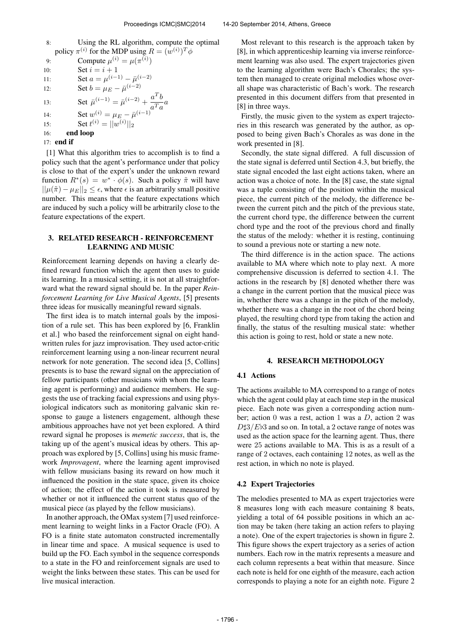8: Using the RL algorithm, compute the optimal policy  $\pi^{(i)}$  for the MDP using  $R = (w^{(i)})^T \phi$ 9: Compute  $\mu^{(i)} = \mu(\pi^{(i)})$ 10: **Set**  $i = i + 1$ 11: Set  $a = \mu^{(i-1)} - \bar{\mu}^{(i-2)}$ 12: Set  $b = \mu_E - \bar{\mu}^{(i-2)}$ 13: Set  $\bar{\mu}^{(i-1)} = \bar{\mu}^{(i-2)} + \frac{a^T b}{T}$  $rac{a}{a^T a} a$ 14: Set  $w^{(i)} = \mu_E - \bar{\mu}^{(i-1)}$ 15: Set  $t^{(i)} = ||\overline{w^{(i)}}||_2$ 16: end loop 17: end if

[1] What this algorithm tries to accomplish is to find a policy such that the agent's performance under that policy is close to that of the expert's under the unknown reward function  $R^*(s) = w^* \cdot \phi(s)$ . Such a policy  $\tilde{\pi}$  will have  $||\mu(\tilde{\pi}) - \mu_E||_2 \leq \epsilon$ , where  $\epsilon$  is an arbitrarily small positive number. This means that the feature expectations which are induced by such a policy will be arbitrarily close to the feature expectations of the expert.

# 3. RELATED RESEARCH - REINFORCEMENT LEARNING AND MUSIC

Reinforcement learning depends on having a clearly defined reward function which the agent then uses to guide its learning. In a musical setting, it is not at all straightforward what the reward signal should be. In the paper *Reinforcement Learning for Live Musical Agents*, [5] presents three ideas for musically meaningful reward signals.

The first idea is to match internal goals by the imposition of a rule set. This has been explored by [6, Franklin et al.] who based the reinforcement signal on eight handwritten rules for jazz improvisation. They used actor-critic reinforcement learning using a non-linear recurrent neural network for note generation. The second idea [5, Collins] presents is to base the reward signal on the appreciation of fellow participants (other musicians with whom the learning agent is performing) and audience members. He suggests the use of tracking facial expressions and using physiological indicators such as monitoring galvanic skin response to gauge a listeners engagement, although these ambitious approaches have not yet been explored. A third reward signal he proposes is *memetic success*, that is, the taking up of the agent's musical ideas by others. This approach was explored by [5, Collins] using his music framework *Improvagent*, where the learning agent improvised with fellow musicians basing its reward on how much it influenced the position in the state space, given its choice of action; the effect of the action it took is measured by whether or not it influenced the current status quo of the musical piece (as played by the fellow musicians).

In another approach, the OMax system [7] used reinforcement learning to weight links in a Factor Oracle (FO). A FO is a finite state automaton constructed incrementally in linear time and space. A musical sequence is used to build up the FO. Each symbol in the sequence corresponds to a state in the FO and reinforcement signals are used to weight the links between these states. This can be used for live musical interaction.

Most relevant to this research is the approach taken by [8], in which apprenticeship learning via inverse reinforcement learning was also used. The expert trajectories given to the learning algorithm were Bach's Chorales; the system then managed to create original melodies whose overall shape was characteristic of Bach's work. The research presented in this document differs from that presented in [8] in three ways.

Firstly, the music given to the system as expert trajectories in this research was generated by the author, as opposed to being given Bach's Chorales as was done in the work presented in [8].

Secondly, the state signal differed. A full discussion of the state signal is deferred until Section 4.3, but briefly, the state signal encoded the last eight actions taken, where an action was a choice of note. In the [8] case, the state signal was a tuple consisting of the position within the musical piece, the current pitch of the melody, the difference between the current pitch and the pitch of the previous state, the current chord type, the difference between the current chord type and the root of the previous chord and finally the status of the melody: whether it is resting, continuing to sound a previous note or starting a new note.

The third difference is in the action space. The actions available to MA where which note to play next. A more comprehensive discussion is deferred to section 4.1. The actions in the research by [8] denoted whether there was a change in the current portion that the musical piece was in, whether there was a change in the pitch of the melody, whether there was a change in the root of the chord being played, the resulting chord type from taking the action and finally, the status of the resulting musical state: whether this action is going to rest, hold or state a new note.

### 4. RESEARCH METHODOLOGY

### 4.1 Actions

The actions available to MA correspond to a range of notes which the agent could play at each time step in the musical piece. Each note was given a corresponding action number; action 0 was a rest, action 1 was a  $D$ , action 2 was  $D\sharp 3/E\flat 3$  and so on. In total, a 2 octave range of notes was used as the action space for the learning agent. Thus, there were 25 actions available to MA. This is as a result of a range of 2 octaves, each containing 12 notes, as well as the rest action, in which no note is played.

#### 4.2 Expert Trajectories

The melodies presented to MA as expert trajectories were 8 measures long with each measure containing 8 beats, yielding a total of 64 possible positions in which an action may be taken (here taking an action refers to playing a note). One of the expert trajectories is shown in figure 2. This figure shows the expert trajectory as a series of action numbers. Each row in the matrix represents a measure and each column represents a beat within that measure. Since each note is held for one eighth of the measure, each action corresponds to playing a note for an eighth note. Figure 2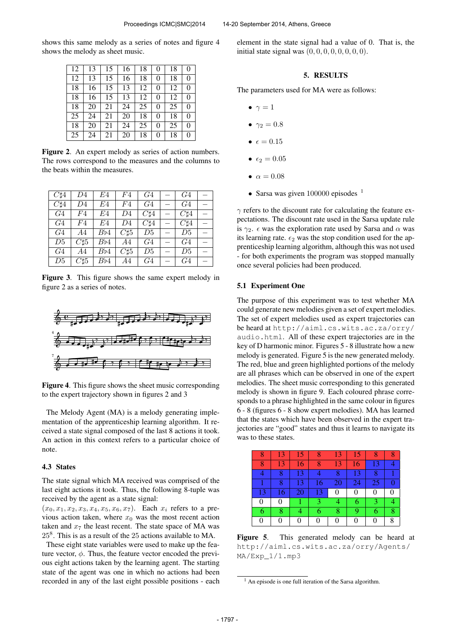shows this same melody as a series of notes and figure 4 shows the melody as sheet music.

| 12 | 13 | 15 | 16 | 18 | 0        | 18 | $\theta$       |
|----|----|----|----|----|----------|----|----------------|
| 12 | 13 | 15 | 16 | 18 | 0        | 18 | $\theta$       |
| 18 | 16 | 15 | 13 | 12 | 0        | 12 | $\overline{0}$ |
| 18 | 16 | 15 | 13 | 12 | $\theta$ | 12 | $\theta$       |
| 18 | 20 | 21 | 24 | 25 | 0        | 25 | $\theta$       |
| 25 | 24 | 21 | 20 | 18 | 0        | 18 | 0              |
| 18 | 20 | 21 | 24 | 25 | 0        | 25 | $\theta$       |
| 25 | 24 | 21 | 20 | 18 | 0        | 18 | $\overline{0}$ |

Figure 2. An expert melody as series of action numbers. The rows correspond to the measures and the columns to the beats within the measures.

| $C\sharp 4$    | D4             | E4  | F4          | G <sub>4</sub> | G <sub>4</sub> |  |
|----------------|----------------|-----|-------------|----------------|----------------|--|
| $C\sharp 4$    | D <sub>4</sub> | E4  | F4          | G <sub>4</sub> | G <sub>4</sub> |  |
| G4             | F4             | E4  | D4          | $C\sharp 4$    | $C\sharp 4$    |  |
| G4             | F4             | E4  | D4          | $C\sharp 4$    | $C\sharp 4$    |  |
| G <sub>4</sub> | A4             | Bb4 | $C\sharp 5$ | D5             | D5             |  |
| D5             | $C\sharp 5$    | Bb4 | A4          | G4             | G <sub>4</sub> |  |
| G <sub>4</sub> | A4             | Bb4 | $C_{15}$    | D5             | D5             |  |
| D5             | $C\sharp 5$    | Bb4 | A4          | G <sub>4</sub> | G4             |  |

Figure 3. This figure shows the same expert melody in figure 2 as a series of notes.



Figure 4. This figure shows the sheet music corresponding to the expert trajectory shown in figures 2 and 3

The Melody Agent (MA) is a melody generating implementation of the apprenticeship learning algorithm. It received a state signal composed of the last 8 actions it took. An action in this context refers to a particular choice of note.

### 4.3 States

The state signal which MA received was comprised of the last eight actions it took. Thus, the following 8-tuple was received by the agent as a state signal:

 $(x_0, x_1, x_2, x_3, x_4, x_5, x_6, x_7)$ . Each  $x_i$  refers to a previous action taken, where  $x_0$  was the most recent action taken and  $x_7$  the least recent. The state space of MA was 25<sup>8</sup> . This is as a result of the 25 actions available to MA.

These eight state variables were used to make up the feature vector,  $\phi$ . Thus, the feature vector encoded the previous eight actions taken by the learning agent. The starting state of the agent was one in which no actions had been recorded in any of the last eight possible positions - each element in the state signal had a value of 0. That is, the initial state signal was  $(0, 0, 0, 0, 0, 0, 0, 0)$ .

# 5. RESULTS

The parameters used for MA were as follows:

- $\bullet \ \gamma = 1$
- $\gamma_2 = 0.8$
- $\epsilon = 0.15$
- $\epsilon_2 = 0.05$
- $\alpha = 0.08$
- Sarsa was given 100000 episodes <sup>1</sup>

 $\gamma$  refers to the discount rate for calculating the feature expectations. The discount rate used in the Sarsa update rule is  $\gamma_2$ .  $\epsilon$  was the exploration rate used by Sarsa and  $\alpha$  was its learning rate.  $\epsilon_2$  was the stop condition used for the apprenticeship learning algorithm, although this was not used - for both experiments the program was stopped manually once several policies had been produced.

### 5.1 Experiment One

The purpose of this experiment was to test whether MA could generate new melodies given a set of expert melodies. The set of expert melodies used as expert trajectories can be heard at [http://aiml.cs.wits.ac.za/orry/](http://aiml.cs.wits.ac.za/orry/audio.html) [audio.html](http://aiml.cs.wits.ac.za/orry/audio.html). All of these expert trajectories are in the key of D harmonic minor. Figures 5 - 8 illustrate how a new melody is generated. Figure 5 is the new generated melody. The red, blue and green highlighted portions of the melody are all phrases which can be observed in one of the expert melodies. The sheet music corresponding to this generated melody is shown in figure 9. Each coloured phrase corresponds to a phrase highlighted in the same colour in figures 6 - 8 (figures 6 - 8 show expert melodies). MA has learned that the states which have been observed in the expert trajectories are "good" states and thus it learns to navigate its was to these states.

| Ω  | 13 | 15 | x  | 13 | 15 | 8        |   |
|----|----|----|----|----|----|----------|---|
| 8  | 13 | 16 | 8  | 13 | 16 | 13       |   |
|    | 8  | 13 |    | 8  | 13 | 8        |   |
|    | 8  | 13 | 16 | 20 | 24 | 25       |   |
| 13 | 16 | 20 | 13 | 0  | 0  | 0        |   |
| 0  | 0  |    | 3  | 4  | 6  | 3        |   |
| 6  | 8  |    | 6  | 8  | 9  | 6        | 8 |
|    | 0  | 0  | 0  |    | 0  | $\theta$ | 8 |

Figure 5. This generated melody can be heard at [http://aiml.cs.wits.ac.za/orry/Agents/](http://aiml.cs.wits.ac.za/orry/Agents/MA/Exp_1/1.mp3) [MA/Exp\\_1/1.mp3](http://aiml.cs.wits.ac.za/orry/Agents/MA/Exp_1/1.mp3)

 $<sup>1</sup>$  An episode is one full iteration of the Sarsa algorithm.</sup>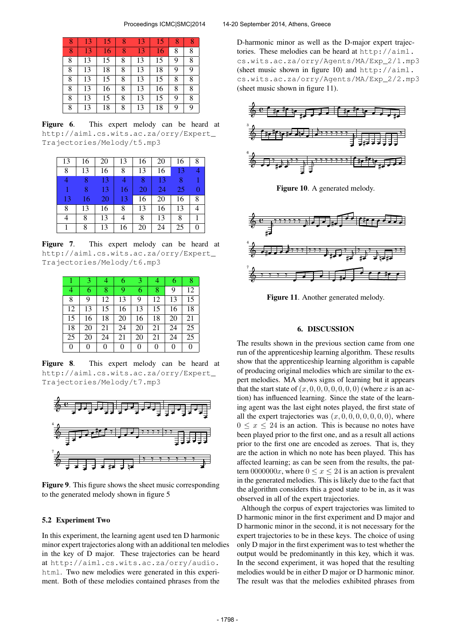| 8 | 13 | 15 | 8 | 13 | 15 | 8 |   |
|---|----|----|---|----|----|---|---|
| 8 | 13 | 16 | 8 | 13 | 16 | 8 | 8 |
| 8 | 13 | 15 | 8 | 13 | 15 | 9 | 8 |
| 8 | 13 | 18 | 8 | 13 | 18 | 9 | 9 |
| 8 | 13 | 15 | 8 | 13 | 15 | 8 | 8 |
| 8 | 13 | 16 | 8 | 13 | 16 | 8 | 8 |
| 8 | 13 | 15 | 8 | 13 | 15 | 9 | 8 |
| 8 | 13 | 18 | 8 | 13 | 18 | 9 | 9 |

Figure 6. This expert melody can be heard at [http://aiml.cs.wits.ac.za/orry/Expert\\_](http://aiml.cs.wits.ac.za/orry/Expert_Trajectories/Melody/t5.mp3) [Trajectories/Melody/t5.mp3](http://aiml.cs.wits.ac.za/orry/Expert_Trajectories/Melody/t5.mp3)

| 13 | 16 | 20 | 13 | 16 | 20 | 16 | 8 |
|----|----|----|----|----|----|----|---|
| 8  | 13 | 16 | 8  | 13 | 16 | 13 |   |
|    | 8  | 13 |    | 8  | 13 | 8  | 1 |
|    | 8  | 13 | 16 | 20 | 24 | 25 | 0 |
| 13 | 16 | 20 | 13 | 16 | 20 | 16 | 8 |
| 8  | 13 | 16 | 8  | 13 | 16 | 13 |   |
| 4  | 8  | 13 | 4  | 8  | 13 | 8  |   |
|    | 8  | 13 | 16 | 20 | 24 | 25 | 0 |

Figure 7. This expert melody can be heard at [http://aiml.cs.wits.ac.za/orry/Expert\\_](http://aiml.cs.wits.ac.za/orry/Expert_Trajectories/Melody/t6.mp3) [Trajectories/Melody/t6.mp3](http://aiml.cs.wits.ac.za/orry/Expert_Trajectories/Melody/t6.mp3)

|    | 3  | 4  | 6  | 3  | 4  | 6  | 8  |
|----|----|----|----|----|----|----|----|
| 4  | 6  | 8  | 9  | 6  | 8  | 9  | 12 |
| 8  | 9  | 12 | 13 | 9  | 12 | 13 | 15 |
| 12 | 13 | 15 | 16 | 13 | 15 | 16 | 18 |
| 15 | 16 | 18 | 20 | 16 | 18 | 20 | 21 |
| 18 | 20 | 21 | 24 | 20 | 21 | 24 | 25 |
| 25 | 20 | 24 | 21 | 20 | 21 | 24 | 25 |
| 0  | 0  | 0  | 0  | 0  | 0  | 0  | 0  |

Figure 8. This expert melody can be heard at [http://aiml.cs.wits.ac.za/orry/Expert\\_](http://aiml.cs.wits.ac.za/orry/Expert_Trajectories/Melody/t7.mp3) [Trajectories/Melody/t7.mp3](http://aiml.cs.wits.ac.za/orry/Expert_Trajectories/Melody/t7.mp3)



Figure 9. This figure shows the sheet music corresponding to the generated melody shown in figure 5

#### 5.2 Experiment Two

In this experiment, the learning agent used ten D harmonic minor expert trajectories along with an additional ten melodies in the key of D major. These trajectories can be heard at [http://aiml.cs.wits.ac.za/orry/audio.](http://aiml.cs.wits.ac.za/orry/audio.html) [html](http://aiml.cs.wits.ac.za/orry/audio.html). Two new melodies were generated in this experiment. Both of these melodies contained phrases from the

D-harmonic minor as well as the D-major expert trajectories. These melodies can be heard at [http://aiml.](http://aiml.cs.wits.ac.za/orry/Agents/MA/Exp_2/1.mp3) [cs.wits.ac.za/orry/Agents/MA/Exp\\_2/1.mp3](http://aiml.cs.wits.ac.za/orry/Agents/MA/Exp_2/1.mp3) (sheet music shown in figure 10) and [http://aiml.](http://aiml.cs.wits.ac.za/orry/Agents/MA/Exp_2/2.mp3) [cs.wits.ac.za/orry/Agents/MA/Exp\\_2/2.mp3](http://aiml.cs.wits.ac.za/orry/Agents/MA/Exp_2/2.mp3) (sheet music shown in figure 11).



Figure 10. A generated melody.



Figure 11. Another generated melody.

#### 6. DISCUSSION

The results shown in the previous section came from one run of the apprenticeship learning algorithm. These results show that the apprenticeship learning algorithm is capable of producing original melodies which are similar to the expert melodies. MA shows signs of learning but it appears that the start state of  $(x, 0, 0, 0, 0, 0, 0, 0)$  (where x is an action) has influenced learning. Since the state of the learning agent was the last eight notes played, the first state of all the expert trajectories was  $(x, 0, 0, 0, 0, 0, 0, 0)$ , where  $0 \leq x \leq 24$  is an action. This is because no notes have been played prior to the first one, and as a result all actions prior to the first one are encoded as zeroes. That is, they are the action in which no note has been played. This has affected learning; as can be seen from the results, the pattern 0000000x, where  $0 \le x \le 24$  is an action is prevalent in the generated melodies. This is likely due to the fact that the algorithm considers this a good state to be in, as it was observed in all of the expert trajectories.

Although the corpus of expert trajectories was limited to D harmonic minor in the first experiment and D major and D harmonic minor in the second, it is not necessary for the expert trajectories to be in these keys. The choice of using only D major in the first experiment was to test whether the output would be predominantly in this key, which it was. In the second experiment, it was hoped that the resulting melodies would be in either D major or D harmonic minor. The result was that the melodies exhibited phrases from